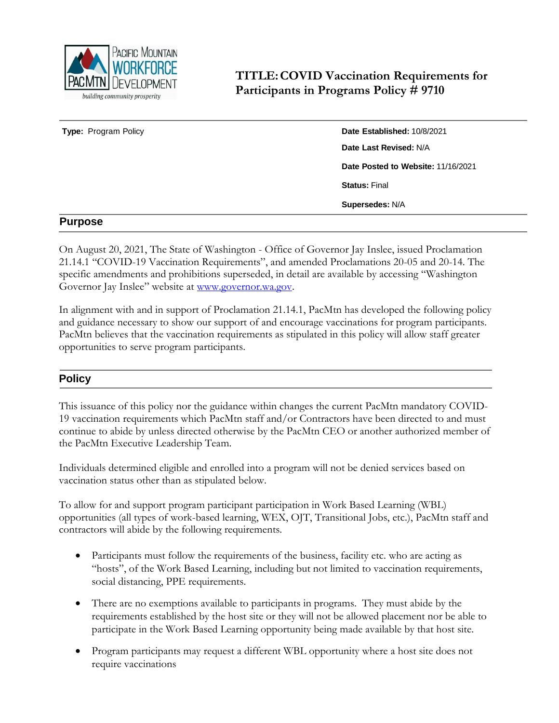

**TITLE:COVID Vaccination Requirements for Participants in Programs Policy # 9710**

**Type:** Program Policy **Date Established:** 10/8/2021 **Date Last Revised:** N/A **Date Posted to Website:** 11/16/2021 **Status:** Final **Supersedes:** N/A

## **Purpose**

On August 20, 2021, The State of Washington - Office of Governor Jay Inslee, issued Proclamation 21.14.1 "COVID-19 Vaccination Requirements", and amended Proclamations 20-05 and 20-14. The specific amendments and prohibitions superseded, in detail are available by accessing "Washington Governor Jay Inslee" website at [www.governor.wa.gov.](http://www.governor.wa.gov/)

In alignment with and in support of Proclamation 21.14.1, PacMtn has developed the following policy and guidance necessary to show our support of and encourage vaccinations for program participants. PacMtn believes that the vaccination requirements as stipulated in this policy will allow staff greater opportunities to serve program participants.

## **Policy**

This issuance of this policy nor the guidance within changes the current PacMtn mandatory COVID-19 vaccination requirements which PacMtn staff and/or Contractors have been directed to and must continue to abide by unless directed otherwise by the PacMtn CEO or another authorized member of the PacMtn Executive Leadership Team.

Individuals determined eligible and enrolled into a program will not be denied services based on vaccination status other than as stipulated below.

To allow for and support program participant participation in Work Based Learning (WBL) opportunities (all types of work-based learning, WEX, OJT, Transitional Jobs, etc.), PacMtn staff and contractors will abide by the following requirements.

- Participants must follow the requirements of the business, facility etc. who are acting as "hosts", of the Work Based Learning, including but not limited to vaccination requirements, social distancing, PPE requirements.
- There are no exemptions available to participants in programs. They must abide by the requirements established by the host site or they will not be allowed placement nor be able to participate in the Work Based Learning opportunity being made available by that host site.
- Program participants may request a different WBL opportunity where a host site does not require vaccinations